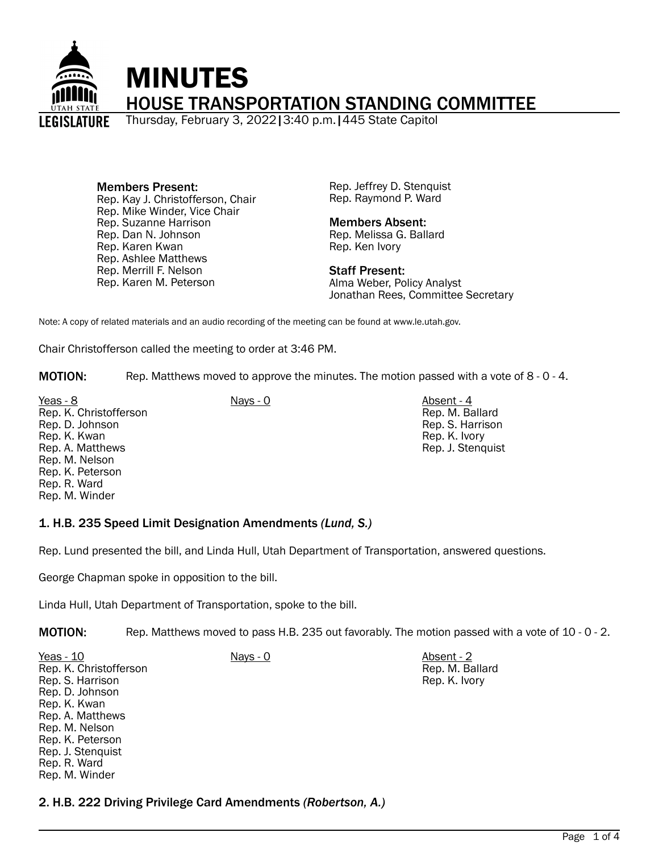

Members Present: Rep. Kay J. Christofferson, Chair Rep. Mike Winder, Vice Chair Rep. Suzanne Harrison Rep. Dan N. Johnson Rep. Karen Kwan Rep. Ashlee Matthews Rep. Merrill F. Nelson Rep. Karen M. Peterson

Rep. Jeffrey D. Stenquist Rep. Raymond P. Ward

#### Members Absent:

Rep. Melissa G. Ballard Rep. Ken Ivory

Staff Present: Alma Weber, Policy Analyst Jonathan Rees, Committee Secretary

Note: A copy of related materials and an audio recording of the meeting can be found at www.le.utah.gov.

Chair Christofferson called the meeting to order at 3:46 PM.

**MOTION:** Rep. Matthews moved to approve the minutes. The motion passed with a vote of 8 - 0 - 4.

Yeas - 8 Nays - 0 Absent - 4 Rep. K. Christofferson Rep. D. Johnson Rep. K. Kwan Rep. A. Matthews Rep. M. Nelson Rep. K. Peterson Rep. R. Ward Rep. M. Winder

### 1. H.B. 235 Speed Limit Designation Amendments *(Lund, S.)*

Rep. Lund presented the bill, and Linda Hull, Utah Department of Transportation, answered questions.

George Chapman spoke in opposition to the bill.

Linda Hull, Utah Department of Transportation, spoke to the bill.

MOTION: Rep. Matthews moved to pass H.B. 235 out favorably. The motion passed with a vote of 10 - 0 - 2.

Yeas - 10 Nays - 0 Absent - 2 Rep. K. Christofferson Rep. S. Harrison Rep. D. Johnson Rep. K. Kwan Rep. A. Matthews Rep. M. Nelson Rep. K. Peterson Rep. J. Stenquist Rep. R. Ward Rep. M. Winder

Rep. M. Ballard Rep. K. Ivory

2. H.B. 222 Driving Privilege Card Amendments *(Robertson, A.)*

Page 1 of 4

Rep. M. Ballard Rep. S. Harrison Rep. K. Ivory Rep. J. Stenquist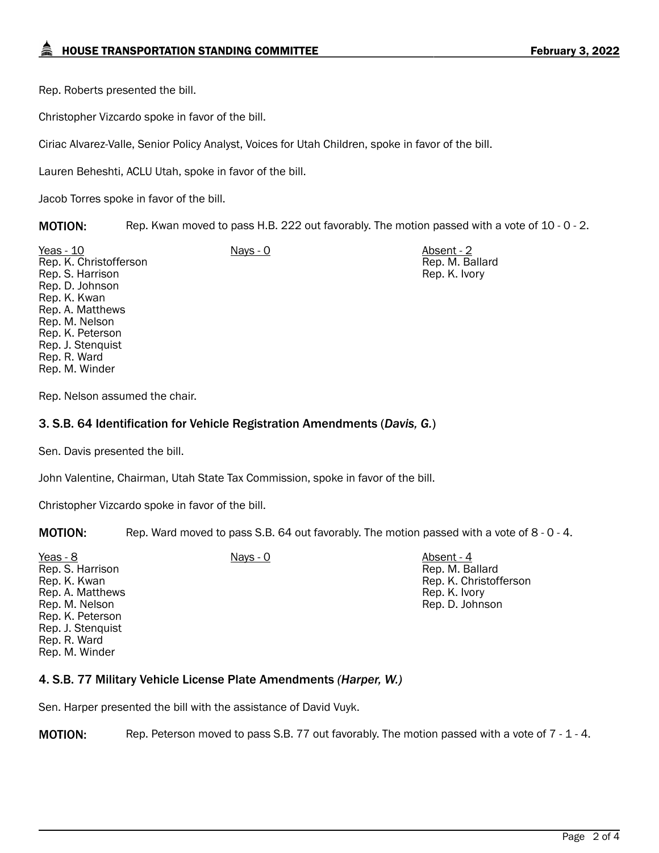Rep. Roberts presented the bill.

Christopher Vizcardo spoke in favor of the bill.

Ciriac Alvarez-Valle, Senior Policy Analyst, Voices for Utah Children, spoke in favor of the bill.

Lauren Beheshti, ACLU Utah, spoke in favor of the bill.

Jacob Torres spoke in favor of the bill.

MOTION: Rep. Kwan moved to pass H.B. 222 out favorably. The motion passed with a vote of 10 - 0 - 2.

Yeas - 10 Nays - 0 Nays - 0 Absent - 2 Rep. K. Christofferson Rep. S. Harrison Rep. D. Johnson Rep. K. Kwan Rep. A. Matthews Rep. M. Nelson Rep. K. Peterson Rep. J. Stenquist Rep. R. Ward Rep. M. Winder Rep. M. Ballard Rep. K. Ivory

Rep. Nelson assumed the chair.

#### 3. S.B. 64 Identification for Vehicle Registration Amendments (*Davis, G.*)

Sen. Davis presented the bill.

John Valentine, Chairman, Utah State Tax Commission, spoke in favor of the bill.

Christopher Vizcardo spoke in favor of the bill.

MOTION: Rep. Ward moved to pass S.B. 64 out favorably. The motion passed with a vote of 8 - 0 - 4.

| $Yeas - 8$<br>Rep. S. Harrison<br>Rep. K. Kwan<br>Rep. A. Matthews<br>Rep. M. Nelson<br>Rep. K. Peterson<br>Rep. J. Stenguist<br>Rep. R. Ward | Nays - 0 | Absent - 4<br>Rep. M. Ballard<br>Rep. K. Christofferson<br>Rep. K. Ivory<br>Rep. D. Johnson |
|-----------------------------------------------------------------------------------------------------------------------------------------------|----------|---------------------------------------------------------------------------------------------|
| Rep. M. Winder                                                                                                                                |          |                                                                                             |

#### 4. S.B. 77 Military Vehicle License Plate Amendments *(Harper, W.)*

Sen. Harper presented the bill with the assistance of David Vuyk.

MOTION: Rep. Peterson moved to pass S.B. 77 out favorably. The motion passed with a vote of 7 - 1 - 4.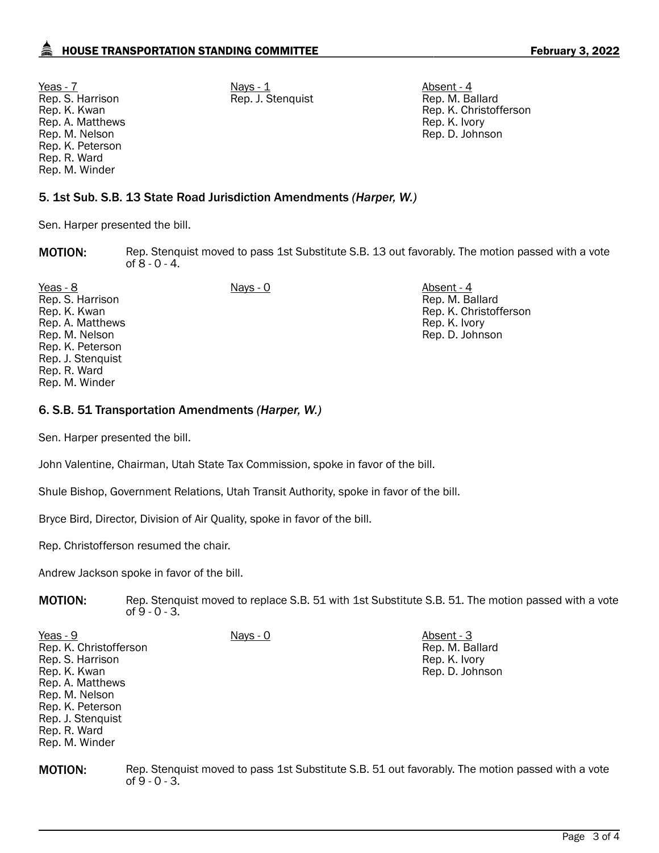<u>Yeas - 7</u> Nays - <u>1</u> Nays - <u>1</u> Nays - 1 Absent - 4 Rep. S. Harrison Rep. K. Kwan Rep. A. Matthews Rep. M. Nelson Rep. K. Peterson Rep. R. Ward Rep. M. Winder

Rep. J. Stenquist Rep. M. Ballard

Rep. K. Christofferson Rep. K. Ivory Rep. D. Johnson

Rep. M. Ballard Rep. K. Christofferson

Rep. K. Ivory Rep. D. Johnson

# 5. 1st Sub. S.B. 13 State Road Jurisdiction Amendments *(Harper, W.)*

Sen. Harper presented the bill.

**MOTION:** Rep. Stenquist moved to pass 1st Substitute S.B. 13 out favorably. The motion passed with a vote of 8 - 0 - 4.

Yeas - 8 Nays - 0 Absent - 4 Rep. S. Harrison Rep. K. Kwan Rep. A. Matthews Rep. M. Nelson Rep. K. Peterson Rep. J. Stenquist Rep. R. Ward Rep. M. Winder

## 6. S.B. 51 Transportation Amendments *(Harper, W.)*

Sen. Harper presented the bill.

John Valentine, Chairman, Utah State Tax Commission, spoke in favor of the bill.

Shule Bishop, Government Relations, Utah Transit Authority, spoke in favor of the bill.

Bryce Bird, Director, Division of Air Quality, spoke in favor of the bill.

Rep. Christofferson resumed the chair.

Andrew Jackson spoke in favor of the bill.

MOTION: Rep. Stenquist moved to replace S.B. 51 with 1st Substitute S.B. 51. The motion passed with a vote of 9 - 0 - 3.

| Yeas - 9               | Nays - 0 | Absent - 3      |
|------------------------|----------|-----------------|
| Rep. K. Christofferson |          | Rep. M. Ballard |
| Rep. S. Harrison       |          | Rep. K. Ivory   |
| Rep. K. Kwan           |          | Rep. D. Johnson |
| Rep. A. Matthews       |          |                 |
| Rep. M. Nelson         |          |                 |
| Rep. K. Peterson       |          |                 |
| Rep. J. Stenguist      |          |                 |
| Rep. R. Ward           |          |                 |
| Rep. M. Winder         |          |                 |
|                        |          |                 |

MOTION: Rep. Stenquist moved to pass 1st Substitute S.B. 51 out favorably. The motion passed with a vote of 9 - 0 - 3.